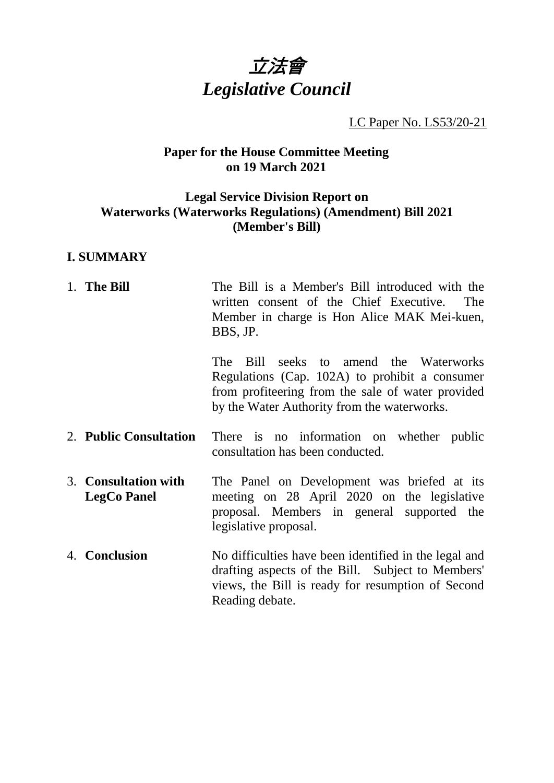

LC Paper No. LS53/20-21

### **Paper for the House Committee Meeting on 19 March 2021**

## **Legal Service Division Report on Waterworks (Waterworks Regulations) (Amendment) Bill 2021 (Member's Bill)**

#### **I. SUMMARY**

1. **The Bill** The Bill is a Member's Bill introduced with the written consent of the Chief Executive. The Member in charge is Hon Alice MAK Mei-kuen, BBS, JP. The Bill seeks to amend the Waterworks Regulations (Cap. 102A) to prohibit a consumer from profiteering from the sale of water provided by the Water Authority from the waterworks. 2. **Public Consultation** There is no information on whether public consultation has been conducted. 3. **Consultation with LegCo Panel** The Panel on Development was briefed at its meeting on 28 April 2020 on the legislative proposal. Members in general supported the legislative proposal. 4. **Conclusion** No difficulties have been identified in the legal and drafting aspects of the Bill. Subject to Members' views, the Bill is ready for resumption of Second Reading debate.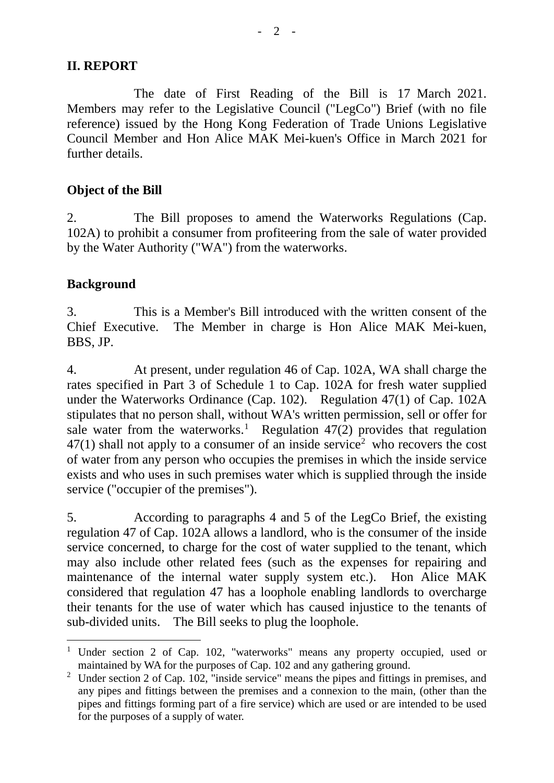### **II. REPORT**

The date of First Reading of the Bill is 17 March 2021. Members may refer to the Legislative Council ("LegCo") Brief (with no file reference) issued by the Hong Kong Federation of Trade Unions Legislative Council Member and Hon Alice MAK Mei-kuen's Office in March 2021 for further details.

# **Object of the Bill**

2. The Bill proposes to amend the Waterworks Regulations (Cap. 102A) to prohibit a consumer from profiteering from the sale of water provided by the Water Authority ("WA") from the waterworks.

# **Background**

3. This is a Member's Bill introduced with the written consent of the Chief Executive. The Member in charge is Hon Alice MAK Mei-kuen, BBS, JP.

4. At present, under regulation 46 of Cap. 102A, WA shall charge the rates specified in Part 3 of Schedule 1 to Cap. 102A for fresh water supplied under the Waterworks Ordinance (Cap. 102). Regulation 47(1) of Cap. 102A stipulates that no person shall, without WA's written permission, sell or offer for sale water from the waterworks.<sup>[1](#page-1-0)</sup> Regulation 47(2) provides that regulation  $47(1)$  shall not apply to a consumer of an inside service<sup>[2](#page-1-1)</sup> who recovers the cost of water from any person who occupies the premises in which the inside service exists and who uses in such premises water which is supplied through the inside service ("occupier of the premises").

5. According to paragraphs 4 and 5 of the LegCo Brief, the existing regulation 47 of Cap. 102A allows a landlord, who is the consumer of the inside service concerned, to charge for the cost of water supplied to the tenant, which may also include other related fees (such as the expenses for repairing and maintenance of the internal water supply system etc.). Hon Alice MAK considered that regulation 47 has a loophole enabling landlords to overcharge their tenants for the use of water which has caused injustice to the tenants of sub-divided units. The Bill seeks to plug the loophole.

<span id="page-1-0"></span><sup>&</sup>lt;sup>1</sup> Under section 2 of Cap. 102, "waterworks" means any property occupied, used or maintained by WA for the purposes of Cap. 102 and any gathering ground.

<span id="page-1-1"></span><sup>&</sup>lt;sup>2</sup> Under section 2 of Cap. 102, "inside service" means the pipes and fittings in premises, and any pipes and fittings between the premises and a connexion to the main, (other than the pipes and fittings forming part of a fire service) which are used or are intended to be used for the purposes of a supply of water.